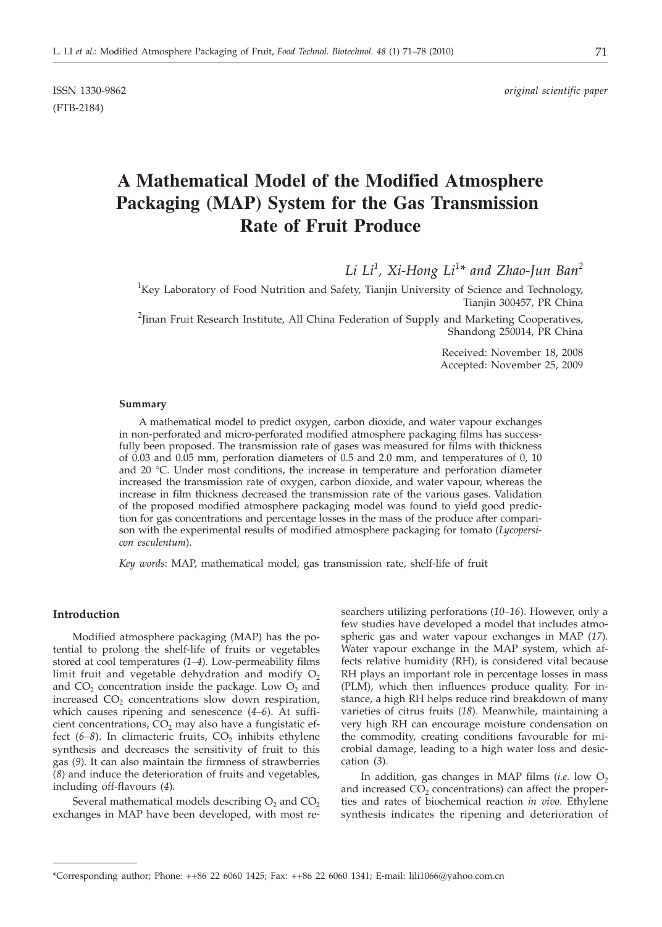(FTB-2184)

# **A Mathematical Model of the Modified Atmosphere Packaging (MAP) System for the Gas Transmission Rate of Fruit Produce**

*Li Li<sup>1</sup> , Xi-Hong Li<sup>1</sup> \* and Zhao-Jun Ban<sup>2</sup>*

<sup>1</sup>Key Laboratory of Food Nutrition and Safety, Tianjin University of Science and Technology, Tianjin 300457, PR China

 $^{2}$ Jinan Fruit Research Institute, All China Federation of Supply and Marketing Cooperatives, Shandong 250014, PR China

> Received: November 18, 2008 Accepted: November 25, 2009

#### **Summary**

A mathematical model to predict oxygen, carbon dioxide, and water vapour exchanges in non-perforated and micro-perforated modified atmosphere packaging films has successfully been proposed. The transmission rate of gases was measured for films with thickness of 0.03 and 0.05 mm, perforation diameters of 0.5 and 2.0 mm, and temperatures of 0, 10 and 20 °C. Under most conditions, the increase in temperature and perforation diameter increased the transmission rate of oxygen, carbon dioxide, and water vapour, whereas the increase in film thickness decreased the transmission rate of the various gases. Validation of the proposed modified atmosphere packaging model was found to yield good prediction for gas concentrations and percentage losses in the mass of the produce after comparison with the experimental results of modified atmosphere packaging for tomato (*Lycopersicon esculentum*).

*Key words*: MAP, mathematical model, gas transmission rate, shelf-life of fruit

# **Introduction**

Modified atmosphere packaging (MAP) has the potential to prolong the shelf-life of fruits or vegetables stored at cool temperatures (*1–4*). Low-permeability films limit fruit and vegetable dehydration and modify  $O_2$ and  $CO<sub>2</sub>$  concentration inside the package. Low  $O<sub>2</sub>$  and increased  $CO<sub>2</sub>$  concentrations slow down respiration, which causes ripening and senescence (*4–6*). At sufficient concentrations,  $CO<sub>2</sub>$  may also have a fungistatic effect  $(6-8)$ . In climacteric fruits,  $CO<sub>2</sub>$  inhibits ethylene synthesis and decreases the sensitivity of fruit to this gas (*9*). It can also maintain the firmness of strawberries (*8*) and induce the deterioration of fruits and vegetables, including off-flavours (*4*).

Several mathematical models describing  $O<sub>2</sub>$  and  $CO<sub>2</sub>$ exchanges in MAP have been developed, with most re-

searchers utilizing perforations (*10–16*). However, only a few studies have developed a model that includes atmospheric gas and water vapour exchanges in MAP (*17*). Water vapour exchange in the MAP system, which affects relative humidity (RH), is considered vital because RH plays an important role in percentage losses in mass (PLM), which then influences produce quality. For instance, a high RH helps reduce rind breakdown of many varieties of citrus fruits (*18*). Meanwhile, maintaining a very high RH can encourage moisture condensation on the commodity, creating conditions favourable for microbial damage, leading to a high water loss and desiccation (*3*).

In addition, gas changes in MAP films  $(i.e.$  low  $O<sub>2</sub>$ and increased  $CO<sub>2</sub>$  concentrations) can affect the properties and rates of biochemical reaction *in vivo*. Ethylene synthesis indicates the ripening and deterioration of

<sup>\*</sup>Corresponding author; Phone: ++86 22 6060 1425; Fax: ++86 22 6060 1341; E-mail: lili1066@yahoo.com.cn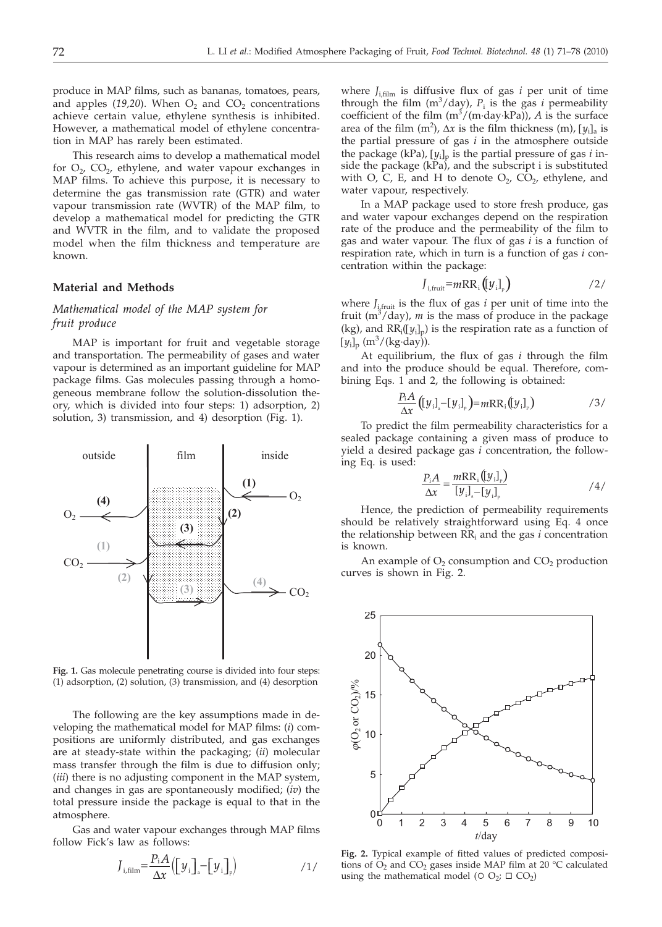produce in MAP films, such as bananas, tomatoes, pears, and apples (19,20). When  $O_2$  and  $CO_2$  concentrations achieve certain value, ethylene synthesis is inhibited. However, a mathematical model of ethylene concentration in MAP has rarely been estimated.

This research aims to develop a mathematical model for  $O_2$ ,  $CO_2$ , ethylene, and water vapour exchanges in MAP films. To achieve this purpose, it is necessary to determine the gas transmission rate (GTR) and water vapour transmission rate (WVTR) of the MAP film, to develop a mathematical model for predicting the GTR and WVTR in the film, and to validate the proposed model when the film thickness and temperature are known.

## **Material and Methods**

# *Mathematical model of the MAP system for fruit produce*

MAP is important for fruit and vegetable storage and transportation. The permeability of gases and water vapour is determined as an important guideline for MAP package films. Gas molecules passing through a homogeneous membrane follow the solution-dissolution theory, which is divided into four steps: 1) adsorption, 2) solution, 3) transmission, and 4) desorption (Fig. 1).



**Fig. 1.** Gas molecule penetrating course is divided into four steps: (1) adsorption, (2) solution, (3) transmission, and (4) desorption

The following are the key assumptions made in developing the mathematical model for MAP films: (*i*) compositions are uniformly distributed, and gas exchanges are at steady-state within the packaging; (*ii*) molecular mass transfer through the film is due to diffusion only; (*iii*) there is no adjusting component in the MAP system, and changes in gas are spontaneously modified; (*iv*) the total pressure inside the package is equal to that in the atmosphere.

Gas and water vapour exchanges through MAP films follow Fick's law as follows:

$$
J_{i, \text{film}} = \frac{P_i A}{\Delta x} \Big( \Big[ y_i \Big]_s - \Big[ y_i \Big]_p \Big) \tag{1/}
$$

where  $J_{\text{i,film}}$  is diffusive flux of gas *i* per unit of time through the film  $(m^3 / day)$ ,  $P_i$  is the gas *i* permeability coefficient of the film  $(m^3/(m \cdot \text{day} \cdot \text{kPa}))$ , *A* is the surface area of the film  $(m^2)$ ,  $\Delta x$  is the film thickness  $(m)$ ,  $[y_i]_a$  is<br>the partial pressure of gas *i* in the atmosphere outside the partial pressure of gas *i* in the atmosphere outside the package (kPa), [*y*<sub>ilp</sub> is the partial pressure of gas *i* in-<br>side the package (kPa), and the subscript i is substituted side the package (kPa), and the subscript i is substituted with O, C, E, and H to denote  $O_2$ ,  $CO_2$ , ethylene, and water vapour, respectively.

In a MAP package used to store fresh produce, gas and water vapour exchanges depend on the respiration rate of the produce and the permeability of the film to gas and water vapour. The flux of gas *i* is a function of respiration rate, which in turn is a function of gas *i* concentration within the package:

$$
J_{i, \text{fruit}} = mRR_i \left( \left[ y_i \right]_{\text{P}} \right) \tag{2/}
$$

where  $J_{i, fruit}$  is the flux of gas  $i$  per unit of time into the fruit  $(m^3/day)$ , *m* is the mass of produce in the package (kg), and  $RR_i([y_i]_p)$  is the respiration rate as a function of  $[y_i]_{(m^3/(k\alpha, d^3y))}$  $[y_i]_p$  (m<sup>3</sup>/(kg·day)).

At equilibrium, the flux of gas *i* through the film and into the produce should be equal. Therefore, combining Eqs. 1 and 2, the following is obtained:

$$
\frac{P_{i}A}{\Delta x}\big(\big[y_{i}\big]_{\scriptscriptstyle\circ}-\big[y_{i}\big]_{\scriptscriptstyle\circ}\big)=mRR_{i}\big(\big[y_{i}\big]_{\scriptscriptstyle\circ}\big) \qquad \qquad /3/
$$

To predict the film permeability characteristics for a sealed package containing a given mass of produce to yield a desired package gas *i* concentration, the following Eq. is used:

$$
\frac{P_{i}A}{\Delta x} = \frac{mRR_{i}( [y_{i}]_{P})}{[y_{i}]_{P} - [y_{i}]_{P}}
$$
 (4/

Hence, the prediction of permeability requirements should be relatively straightforward using Eq. 4 once the relationship between RRi and the gas *i* concentration is known.

An example of  $O_2$  consumption and  $CO_2$  production curves is shown in Fig. 2.



**Fig. 2.** Typical example of fitted values of predicted compositions of  $O_2$  and  $CO_2$  gases inside MAP film at 20 °C calculated using the mathematical model ( $\circ$  O<sub>2</sub>;  $\Box$  CO<sub>2</sub>)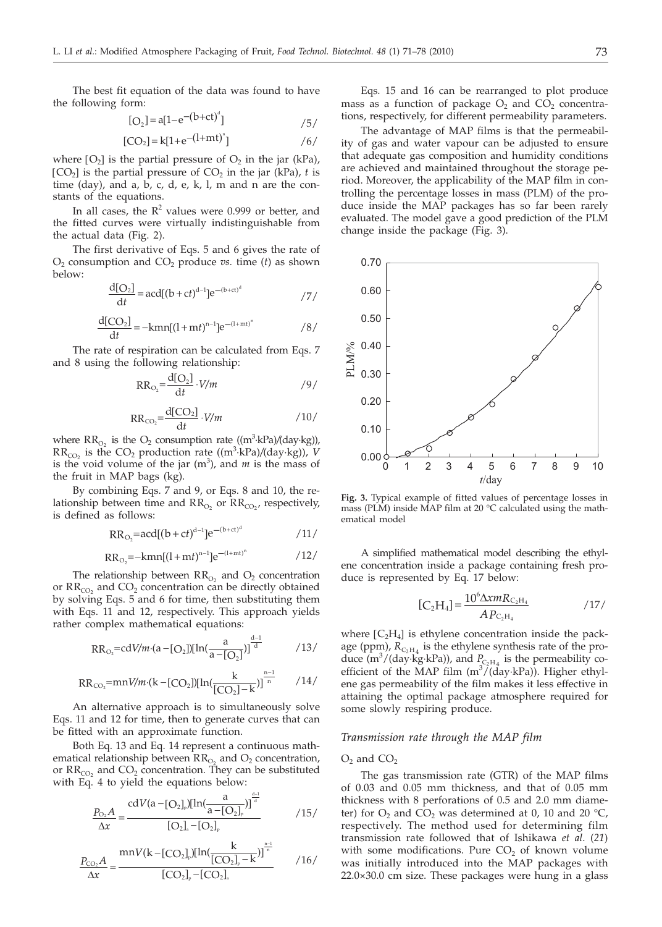The best fit equation of the data was found to have the following form:

$$
[O_2] = a[1 - e^{-(b + ct)^d}]
$$

$$
[CO_2] = k[1 + e^{-(1+mt)^n}]
$$

where  $[O_2]$  is the partial pressure of  $O_2$  in the jar (kPa),  $[CO<sub>2</sub>]$  is the partial pressure of  $CO<sub>2</sub>$  in the jar (kPa), *t* is time (day), and a, b, c, d, e, k, l, m and n are the constants of the equations.

In all cases, the  $R^2$  values were 0.999 or better, and the fitted curves were virtually indistinguishable from the actual data (Fig. 2).

The first derivative of Eqs. 5 and 6 gives the rate of  $O_2$  consumption and  $CO_2$  produce *vs.* time (*t*) as shown below:

$$
\frac{d[O_2]}{dt} = acd[(b+ct)^{d-1}]e^{-(b+ct)^d}
$$

$$
\frac{d[CO_2]}{dt} = -kmn[(1+mt)^{n-1}]e^{-(1+mt)^n}
$$

The rate of respiration can be calculated from Eqs. 7 and 8 using the following relationship:

$$
RR_{\text{O}_2} = \frac{d[\text{O}_2]}{dt} \cdot V/m \qquad \qquad \text{/9/}
$$

$$
RR_{CO_2} = \frac{d[CO_2]}{dt} \cdot V/m
$$
 / 10/

where  $RR_{O_2}$  is the  $O_2$  consumption rate  $((m^3 \text{ kPa})/(day \text{ kg})),$  $RR_{CO_2}$  is the  $CO_2$  production rate  $((m^3 \text{ kPa})/(day \text{ kg}))$ , *V* is the void volume of the jar  $(m^3)$ , and  $m$  is the mass of the fruit in MAP bags (kg).

By combining Eqs. 7 and 9, or Eqs. 8 and 10, the relationship between time and  $RR_{O_2}$  or  $RR_{CO_2}$ , respectively, is defined as follows:

$$
RR_{O_2} = acd[(b+ct)^{d-1}]e^{-(b+ct)^d}
$$

$$
RR_{O_2} = -kmn[(1+mt)^{n-1}]e^{-(1+mt)^n}
$$

The relationship between  $RR<sub>O</sub>$  and  $O<sub>2</sub>$  concentration or  $RR_{CO<sub>2</sub>}$  and  $CO<sub>2</sub>$  concentration can be directly obtained by solving Eqs. 5 and 6 for time, then substituting them with Eqs. 11 and 12, respectively. This approach yields rather complex mathematical equations:

$$
RR_{O_2} = cdV/m \cdot (a - [O_2])[ln(\frac{a}{a - [O_2]})^{\frac{d-1}{d}})(13/
$$

$$
RR_{CO_2} = \frac{m}{W/m \cdot (k - [CO_2])[ln(\frac{k}{[CO_2] - k})]^{\frac{n-1}{n}}}
$$
 / 14/

An alternative approach is to simultaneously solve Eqs. 11 and 12 for time, then to generate curves that can be fitted with an approximate function.

Both Eq. 13 and Eq. 14 represent a continuous mathematical relationship between  $RR_{O_2}$  and  $O_2$  concentration, or  $RR_{CO_2}$  and  $CO_2$  concentration. They can be substituted with Eq. 4 to yield the equations below:

$$
\frac{P_{\text{O}_2}A}{\Delta x} = \frac{\text{cd}V(a - [O_2]_p)[\text{ln}(\frac{a}{a - [O_2]_p})]^{\frac{d-1}{d}}}{[O_2]_a - [O_2]_p} \tag{15/}
$$

$$
\frac{P_{\rm CO_2}A}{\Delta x} = \frac{mnV(k - [CO_2]_p)[ln(\frac{k}{[CO_2]_p - k})]^{\frac{n-1}{n}}}{[CO_2]_p - [CO_2]_a} \tag{16}
$$

Eqs. 15 and 16 can be rearranged to plot produce mass as a function of package  $O_2$  and  $CO_2$  concentrations, respectively, for different permeability parameters.

The advantage of MAP films is that the permeability of gas and water vapour can be adjusted to ensure that adequate gas composition and humidity conditions are achieved and maintained throughout the storage period. Moreover, the applicability of the MAP film in controlling the percentage losses in mass (PLM) of the produce inside the MAP packages has so far been rarely evaluated. The model gave a good prediction of the PLM change inside the package (Fig. 3).



**Fig. 3.** Typical example of fitted values of percentage losses in mass (PLM) inside MAP film at 20 °C calculated using the mathematical model

A simplified mathematical model describing the ethylene concentration inside a package containing fresh produce is represented by Eq. 17 below:

$$
[C_2H_4] = \frac{10^6 \Delta x m R_{C_2H_4}}{A P_{C_2H_4}}
$$
 / 17/

where  $[C_2H_4]$  is ethylene concentration inside the package (ppm),  $R_{C_2H_4}$  is the ethylene synthesis rate of the produce  $(m^3/(day \text{ kg} \cdot \text{kPa}))$ , and  $P_{C_2H_4}$  is the permeability coefficient of the MAP film  $(m^3/(\text{day-kPa}))$ . Higher ethylene gas permeability of the film makes it less effective in attaining the optimal package atmosphere required for some slowly respiring produce.

#### *Transmission rate through the MAP film*

#### $O_2$  and  $CO_2$

The gas transmission rate (GTR) of the MAP films of 0.03 and 0.05 mm thickness, and that of 0.05 mm thickness with 8 perforations of 0.5 and 2.0 mm diameter) for  $O_2$  and  $CO_2$  was determined at 0, 10 and 20 °C, respectively. The method used for determining film transmission rate followed that of Ishikawa *et al*. (*21*) with some modifications. Pure  $CO<sub>2</sub>$  of known volume was initially introduced into the MAP packages with 22.0×30.0 cm size. These packages were hung in a glass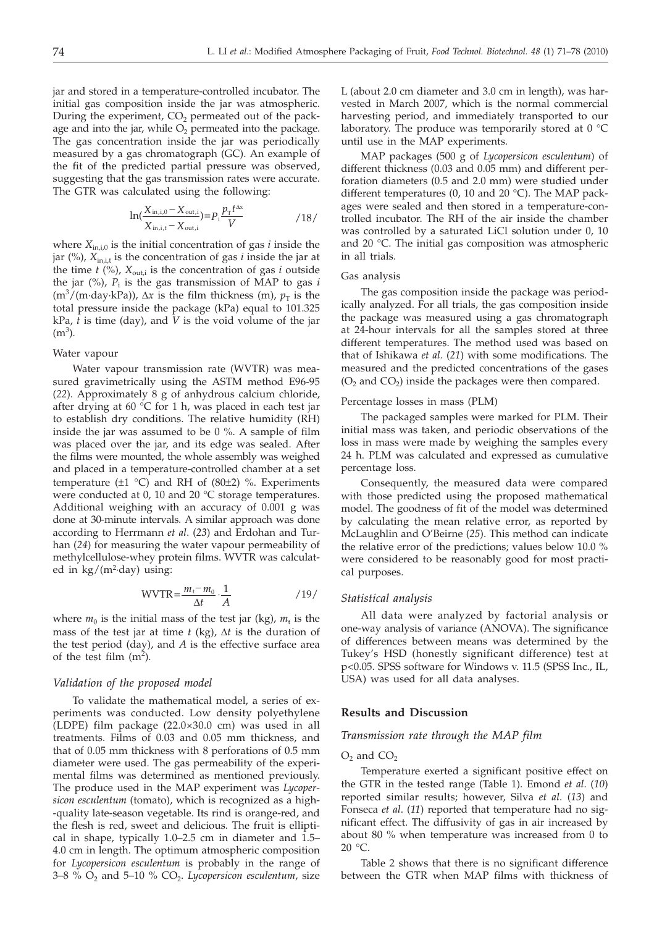jar and stored in a temperature-controlled incubator. The initial gas composition inside the jar was atmospheric. During the experiment,  $CO<sub>2</sub>$  permeated out of the package and into the jar, while  $O_2$  permeated into the package. The gas concentration inside the jar was periodically measured by a gas chromatograph (GC). An example of the fit of the predicted partial pressure was observed, suggesting that the gas transmission rates were accurate. The GTR was calculated using the following:

$$
\ln(\frac{X_{\text{in},i,0} - X_{\text{out},i}}{X_{\text{in},i,t} - X_{\text{out},i}}) = P_i \frac{p_{\text{T}} t^{\Delta x}}{V}
$$
 / 18/

where  $X_{\text{in},i,0}$  is the initial concentration of gas *i* inside the jar  $(\%)$ ,  $X_{\text{init}}$  is the concentration of gas *i* inside the jar at the time  $t$  (%),  $X_{\text{out,i}}$  is the concentration of gas *i* outside the jar  $(\%)$ ,  $P_i$  is the gas transmission of MAP to gas *i*  $(m^3/(m \cdot \text{day} \cdot \text{kPa}))$ ,  $\Delta x$  is the film thickness  $(m)$ ,  $p_T$  is the total pressure inside the package (kPa) equal to 101.325 total pressure inside the package (kPa) equal to 101.325 kPa, *t* is time (day), and *V* is the void volume of the jar  $(m<sup>3</sup>)$ .

## Water vapour

Water vapour transmission rate (WVTR) was measured gravimetrically using the ASTM method E96-95 (*22*). Approximately 8 g of anhydrous calcium chloride, after drying at 60 °C for 1 h, was placed in each test jar to establish dry conditions. The relative humidity (RH) inside the jar was assumed to be 0 %. A sample of film was placed over the jar, and its edge was sealed. After the films were mounted, the whole assembly was weighed and placed in a temperature-controlled chamber at a set temperature  $(\pm 1 \degree C)$  and RH of  $(80\pm 2)$  %. Experiments were conducted at 0, 10 and 20 °C storage temperatures. Additional weighing with an accuracy of 0.001 g was done at 30-minute intervals. A similar approach was done according to Herrmann *et al*. (*23*) and Erdohan and Turhan (*24*) for measuring the water vapour permeability of methylcellulose-whey protein films. WVTR was calculated in  $\text{kg/(m²-day)}$  using:

$$
WVTR = \frac{m_t - m_0}{\Delta t} \cdot \frac{1}{A} \tag{19}
$$

where  $m_0$  is the initial mass of the test jar (kg),  $m_t$  is the mass of the test jar at time  $t$  (kg),  $\Delta t$  is the duration of the test period (day), and *A* is the effective surface area of the test film  $(m^2)$ .

# *Validation of the proposed model*

To validate the mathematical model, a series of experiments was conducted. Low density polyethylene (LDPE) film package (22.0×30.0 cm) was used in all treatments. Films of 0.03 and 0.05 mm thickness, and that of 0.05 mm thickness with 8 perforations of 0.5 mm diameter were used. The gas permeability of the experimental films was determined as mentioned previously. The produce used in the MAP experiment was *Lycopersicon esculentum* (tomato), which is recognized as a high- -quality late-season vegetable. Its rind is orange-red, and the flesh is red, sweet and delicious. The fruit is elliptical in shape, typically 1.0–2.5 cm in diameter and 1.5– 4.0 cm in length. The optimum atmospheric composition for *Lycopersicon esculentum* is probably in the range of  $3-8$  %  $O_2$  and  $5-10$  %  $CO_2$ . *Lycopersicon esculentum, size* 

L (about 2.0 cm diameter and 3.0 cm in length), was harvested in March 2007, which is the normal commercial harvesting period, and immediately transported to our laboratory. The produce was temporarily stored at  $0^{\circ}$ C until use in the MAP experiments.

MAP packages (500 g of *Lycopersicon esculentum*) of different thickness (0.03 and 0.05 mm) and different perforation diameters (0.5 and 2.0 mm) were studied under different temperatures (0, 10 and 20 °C). The MAP packages were sealed and then stored in a temperature-controlled incubator. The RH of the air inside the chamber was controlled by a saturated LiCl solution under 0, 10 and 20 °C. The initial gas composition was atmospheric in all trials.

#### Gas analysis

The gas composition inside the package was periodically analyzed. For all trials, the gas composition inside the package was measured using a gas chromatograph at 24-hour intervals for all the samples stored at three different temperatures. The method used was based on that of Ishikawa *et al.* (*21*) with some modifications. The measured and the predicted concentrations of the gases  $(O<sub>2</sub>$  and  $CO<sub>2</sub>)$  inside the packages were then compared.

## Percentage losses in mass (PLM)

The packaged samples were marked for PLM. Their initial mass was taken, and periodic observations of the loss in mass were made by weighing the samples every 24 h. PLM was calculated and expressed as cumulative percentage loss.

Consequently, the measured data were compared with those predicted using the proposed mathematical model. The goodness of fit of the model was determined by calculating the mean relative error, as reported by McLaughlin and O'Beirne (*25*). This method can indicate the relative error of the predictions; values below 10.0 % were considered to be reasonably good for most practical purposes.

### *Statistical analysis*

All data were analyzed by factorial analysis or one-way analysis of variance (ANOVA). The significance of differences between means was determined by the Tukey's HSD (honestly significant difference) test at p<0.05. SPSS software for Windows v. 11.5 (SPSS Inc., IL, USA) was used for all data analyses.

## **Results and Discussion**

# *Transmission rate through the MAP film*

#### $O_2$  and  $CO_2$

Temperature exerted a significant positive effect on the GTR in the tested range (Table 1). Emond *et al*. (*10*) reported similar results; however, Silva *et al*. (*13*) and Fonseca *et al*. (*11*) reported that temperature had no significant effect. The diffusivity of gas in air increased by about 80 % when temperature was increased from 0 to 20 °C.

Table 2 shows that there is no significant difference between the GTR when MAP films with thickness of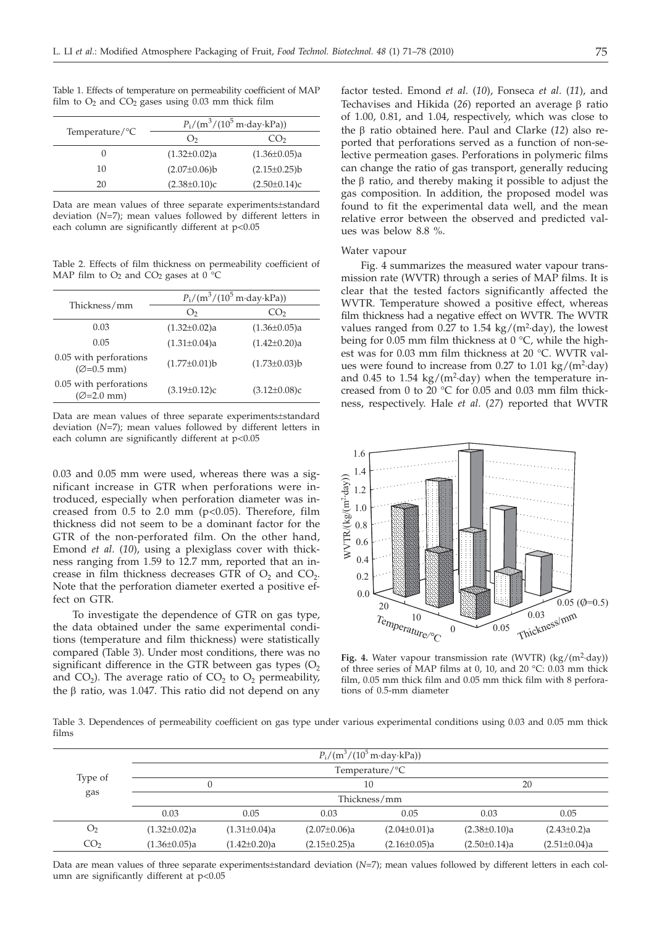Table 1. Effects of temperature on permeability coefficient of MAP film to  $O_2$  and  $CO_2$  gases using 0.03 mm thick film

|                            | $P_i/(m^3/(10^5 \text{ m-day-kPa}))$ |                    |  |
|----------------------------|--------------------------------------|--------------------|--|
| Temperature/ ${}^{\circ}C$ | $\Omega$                             | (1)                |  |
| 0                          | $(1.32 \pm 0.02)a$                   | $(1.36 \pm 0.05)a$ |  |
| 10                         | $(2.07 \pm 0.06) b$                  | $(2.15 \pm 0.25)b$ |  |
| 20                         | $(2.38 \pm 0.10)c$                   | $(2.50 \pm 0.14)c$ |  |
|                            |                                      |                    |  |

Data are mean values of three separate experiments±standard deviation (*N*=7); mean values followed by different letters in each column are significantly different at p<0.05

Table 2. Effects of film thickness on permeability coefficient of MAP film to  $O_2$  and  $CO_2$  gases at  $0^{\circ}$ C

| Thickness/mm                                     | $P_i/(m^3/(10^5 \text{ m-day-kPa}))$ |                     |  |
|--------------------------------------------------|--------------------------------------|---------------------|--|
|                                                  | O <sub>2</sub>                       | CO <sub>2</sub>     |  |
| 0.03                                             | $(1.32 \pm 0.02)a$                   | $(1.36 \pm 0.05)a$  |  |
| 0.05                                             | $(1.31\pm0.04)a$                     | $(1.42 \pm 0.20)a$  |  |
| 0.05 with perforations<br>$(\emptyset = 0.5$ mm) | $(1.77 \pm 0.01)$ b                  | $(1.73 \pm 0.03)$ b |  |
| 0.05 with perforations<br>$(\emptyset = 2.0$ mm) | $(3.19 \pm 0.12)c$                   | $(3.12 \pm 0.08)c$  |  |

Data are mean values of three separate experiments±standard deviation (*N*=7); mean values followed by different letters in each column are significantly different at p<0.05

0.03 and 0.05 mm were used, whereas there was a significant increase in GTR when perforations were introduced, especially when perforation diameter was increased from  $0.5$  to  $2.0$  mm ( $p<0.05$ ). Therefore, film thickness did not seem to be a dominant factor for the GTR of the non-perforated film. On the other hand, Emond *et al*. (*10*), using a plexiglass cover with thickness ranging from 1.59 to 12.7 mm, reported that an increase in film thickness decreases GTR of  $O<sub>2</sub>$  and  $CO<sub>2</sub>$ . Note that the perforation diameter exerted a positive effect on GTR.

To investigate the dependence of GTR on gas type, the data obtained under the same experimental conditions (temperature and film thickness) were statistically compared (Table 3). Under most conditions, there was no significant difference in the GTR between gas types  $(O<sub>2</sub>)$ and CO<sub>2</sub>). The average ratio of CO<sub>2</sub> to O<sub>2</sub> permeability, the  $\beta$  ratio, was 1.047. This ratio did not depend on any factor tested. Emond *et al*. (*10*), Fonseca *et al*. (*11*), and Techavises and Hikida  $(26)$  reported an average  $\beta$  ratio of 1.00, 0.81, and 1.04, respectively, which was close to the  $\beta$  ratio obtained here. Paul and Clarke (12) also reported that perforations served as a function of non-selective permeation gases. Perforations in polymeric films can change the ratio of gas transport, generally reducing the  $\beta$  ratio, and thereby making it possible to adjust the gas composition. In addition, the proposed model was found to fit the experimental data well, and the mean relative error between the observed and predicted values was below 8.8 %.

#### Water vapour

Fig. 4 summarizes the measured water vapour transmission rate (WVTR) through a series of MAP films. It is clear that the tested factors significantly affected the WVTR. Temperature showed a positive effect, whereas film thickness had a negative effect on WVTR. The WVTR values ranged from  $0.27$  to  $1.54 \text{ kg/(m}^2 \text{-day)}$ , the lowest being for 0.05 mm film thickness at 0 °C, while the highest was for 0.03 mm film thickness at 20 °C. WVTR values were found to increase from  $0.27$  to  $1.01 \text{ kg/(m²-day)}$ and 0.45 to 1.54 kg/( $m^2$ -day) when the temperature increased from 0 to 20 °C for 0.05 and 0.03 mm film thickness, respectively. Hale *et al*. (*27*) reported that WVTR



Fig. 4. Water vapour transmission rate (WVTR) (kg/(m<sup>2</sup>·day)) of three series of MAP films at 0, 10, and 20 °C: 0.03 mm thick film, 0.05 mm thick film and 0.05 mm thick film with 8 perforations of 0.5-mm diameter

Table 3. Dependences of permeability coefficient on gas type under various experimental conditions using 0.03 and 0.05 mm thick films

| 0.05               |
|--------------------|
| $(2.43 \pm 0.2)a$  |
| $(2.51 \pm 0.04)a$ |
|                    |

Data are mean values of three separate experiments±standard deviation (*N*=7); mean values followed by different letters in each column are significantly different at p<0.05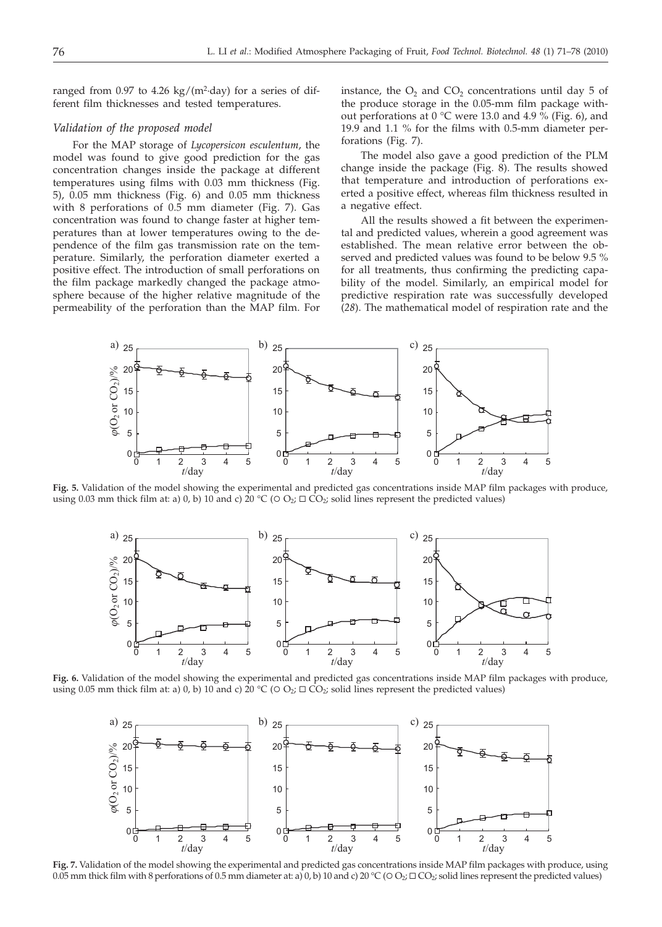ranged from  $0.97$  to  $4.26 \text{ kg/(m²-day)}$  for a series of different film thicknesses and tested temperatures.

## *Validation of the proposed model*

For the MAP storage of *Lycopersicon esculentum*, the model was found to give good prediction for the gas concentration changes inside the package at different temperatures using films with 0.03 mm thickness (Fig. 5), 0.05 mm thickness (Fig. 6) and 0.05 mm thickness with 8 perforations of 0.5 mm diameter (Fig. 7). Gas concentration was found to change faster at higher temperatures than at lower temperatures owing to the dependence of the film gas transmission rate on the temperature. Similarly, the perforation diameter exerted a positive effect. The introduction of small perforations on the film package markedly changed the package atmosphere because of the higher relative magnitude of the permeability of the perforation than the MAP film. For

instance, the  $O_2$  and  $CO_2$  concentrations until day 5 of the produce storage in the 0.05-mm film package without perforations at  $0^{\circ}$ C were 13.0 and 4.9 % (Fig. 6), and 19.9 and 1.1 % for the films with 0.5-mm diameter perforations (Fig. 7).

The model also gave a good prediction of the PLM change inside the package (Fig. 8). The results showed that temperature and introduction of perforations exerted a positive effect, whereas film thickness resulted in a negative effect.

All the results showed a fit between the experimental and predicted values, wherein a good agreement was established. The mean relative error between the observed and predicted values was found to be below 9.5 % for all treatments, thus confirming the predicting capability of the model. Similarly, an empirical model for predictive respiration rate was successfully developed (*28*). The mathematical model of respiration rate and the



**Fig. 5.** Validation of the model showing the experimental and predicted gas concentrations inside MAP film packages with produce, using 0.03 mm thick film at: a) 0, b) 10 and c) 20 °C ( $\circ$  O<sub>2</sub>;  $\Box$  CO<sub>2</sub>; solid lines represent the predicted values)



**Fig. 6.** Validation of the model showing the experimental and predicted gas concentrations inside MAP film packages with produce, using 0.05 mm thick film at: a) 0, b) 10 and c) 20 °C ( $\circ$  O<sub>2</sub>;  $\Box$  CO<sub>2</sub>; solid lines represent the predicted values)



**Fig. 7.** Validation of the model showing the experimental and predicted gas concentrations inside MAP film packages with produce, using 0.05 mm thick film with 8 perforations of 0.5 mm diameter at: a) 0, b) 10 and c) 20 °C ( $O_2$ ;  $\Box$   $CO_2$ ; solid lines represent the predicted values)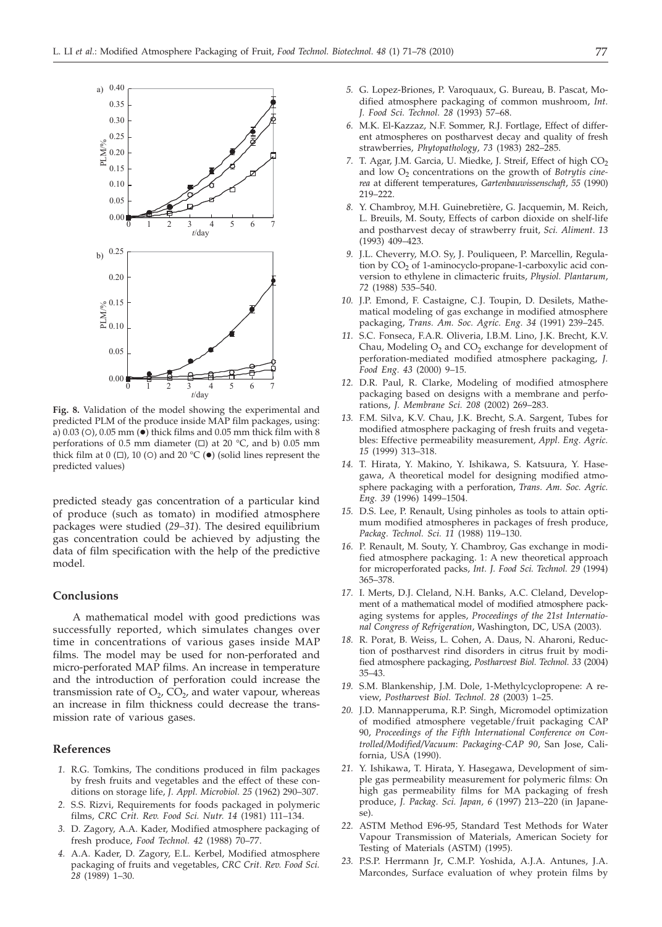

**Fig. 8.** Validation of the model showing the experimental and predicted PLM of the produce inside MAP film packages, using: a)  $0.03$  (O),  $0.05$  mm ( $\bullet$ ) thick films and  $0.05$  mm thick film with 8 perforations of 0.5 mm diameter  $(\square)$  at 20 °C, and b) 0.05 mm thick film at  $0 (\Box)$ , 10 (O) and 20 °C ( $\bullet$ ) (solid lines represent the predicted values)

predicted steady gas concentration of a particular kind of produce (such as tomato) in modified atmosphere packages were studied (*29–31*). The desired equilibrium gas concentration could be achieved by adjusting the data of film specification with the help of the predictive model.

## **Conclusions**

A mathematical model with good predictions was successfully reported, which simulates changes over time in concentrations of various gases inside MAP films. The model may be used for non-perforated and micro-perforated MAP films. An increase in temperature and the introduction of perforation could increase the transmission rate of  $O_2$ ,  $CO_2$ , and water vapour, whereas an increase in film thickness could decrease the transmission rate of various gases.

# **References**

- *1.* R.G. Tomkins, The conditions produced in film packages by fresh fruits and vegetables and the effect of these conditions on storage life, *J. Appl. Microbiol. 25* (1962) 290–307.
- *2.* S.S. Rizvi, Requirements for foods packaged in polymeric films, *CRC Crit. Rev. Food Sci. Nutr. 14* (1981) 111–134.
- *3.* D. Zagory, A.A. Kader, Modified atmosphere packaging of fresh produce, *Food Technol. 42* (1988) 70–77.
- *4.* A.A. Kader, D. Zagory, E.L. Kerbel, Modified atmosphere packaging of fruits and vegetables, *CRC Crit. Rev. Food Sci. 28* (1989) 1–30.
- *5.* G. Lopez-Briones, P. Varoquaux, G. Bureau, B. Pascat, Modified atmosphere packaging of common mushroom, *Int. J. Food Sci. Technol. 28* (1993) 57–68.
- *6.* M.K. El-Kazzaz, N.F. Sommer, R.J. Fortlage, Effect of different atmospheres on postharvest decay and quality of fresh strawberries, *Phytopathology*, *73* (1983) 282–285.
- 7. T. Agar, J.M. Garcia, U. Miedke, J. Streif, Effect of high CO<sub>2</sub> and low  $O<sub>2</sub>$  concentrations on the growth of *Botrytis cinerea* at different temperatures, *Gartenbauwissenschaft*, *55* (1990) 219–222.
- *8.* Y. Chambroy, M.H. Guinebretière, G. Jacquemin, M. Reich, L. Breuils, M. Souty, Effects of carbon dioxide on shelf-life and postharvest decay of strawberry fruit, *Sci. Aliment. 13* (1993) 409–423.
- *9.* J.L. Cheverry, M.O. Sy, J. Pouliqueen, P. Marcellin, Regulation by  $CO<sub>2</sub>$  of 1-aminocyclo-propane-1-carboxylic acid conversion to ethylene in climacteric fruits, *Physiol. Plantarum*, *72* (1988) 535–540.
- *10.* J.P. Emond, F. Castaigne, C.J. Toupin, D. Desilets, Mathematical modeling of gas exchange in modified atmosphere packaging, *Trans. Am. Soc. Agric. Eng. 34* (1991) 239–245.
- *11.* S.C. Fonseca, F.A.R. Oliveria, I.B.M. Lino, J.K. Brecht, K.V. Chau, Modeling  $O_2$  and  $CO_2$  exchange for development of perforation-mediated modified atmosphere packaging, *J. Food Eng. 43* (2000) 9–15.
- *12.* D.R. Paul, R. Clarke, Modeling of modified atmosphere packaging based on designs with a membrane and perforations, *J. Membrane Sci. 208* (2002) 269–283.
- *13.* F.M. Silva, K.V. Chau, J.K. Brecht, S.A. Sargent, Tubes for modified atmosphere packaging of fresh fruits and vegetables: Effective permeability measurement, *Appl. Eng. Agric. 15* (1999) 313–318.
- *14.* T. Hirata, Y. Makino, Y. Ishikawa, S. Katsuura, Y. Hasegawa, A theoretical model for designing modified atmosphere packaging with a perforation, *Trans. Am. Soc. Agric. Eng. 39* (1996) 1499–1504.
- *15.* D.S. Lee, P. Renault, Using pinholes as tools to attain optimum modified atmospheres in packages of fresh produce, *Packag. Technol. Sci. 11* (1988) 119–130.
- *16.* P. Renault, M. Souty, Y. Chambroy, Gas exchange in modified atmosphere packaging. 1: A new theoretical approach for microperforated packs, *Int. J. Food Sci. Technol. 29* (1994) 365–378.
- *17.* I. Merts, D.J. Cleland, N.H. Banks, A.C. Cleland, Development of a mathematical model of modified atmosphere packaging systems for apples, *Proceedings of the 21st International Congress of Refrigeration*, Washington, DC, USA (2003).
- *18.* R. Porat, B. Weiss, L. Cohen, A. Daus, N. Aharoni, Reduction of postharvest rind disorders in citrus fruit by modified atmosphere packaging, *Postharvest Biol. Technol. 33* (2004) 35–43.
- *19.* S.M. Blankenship, J.M. Dole, 1-Methylcyclopropene: A review, *Postharvest Biol. Technol. 28* (2003) 1–25.
- *20.* J.D. Mannapperuma, R.P. Singh, Micromodel optimization of modified atmosphere vegetable/fruit packaging CAP 90, *Proceedings of the Fifth International Conference on Controlled/Modified/Vacuum*: *Packaging-CAP 90*, San Jose, California, USA (1990).
- *21.* Y. Ishikawa, T. Hirata, Y. Hasegawa, Development of simple gas permeability measurement for polymeric films: On high gas permeability films for MA packaging of fresh produce, *J. Packag. Sci. Japan, 6* (1997) 213–220 (in Japanese).
- *22.* ASTM Method E96-95, Standard Test Methods for Water Vapour Transmission of Materials, American Society for Testing of Materials (ASTM) (1995).
- *23.* P.S.P. Herrmann Jr, C.M.P. Yoshida, A.J.A. Antunes, J.A. Marcondes, Surface evaluation of whey protein films by